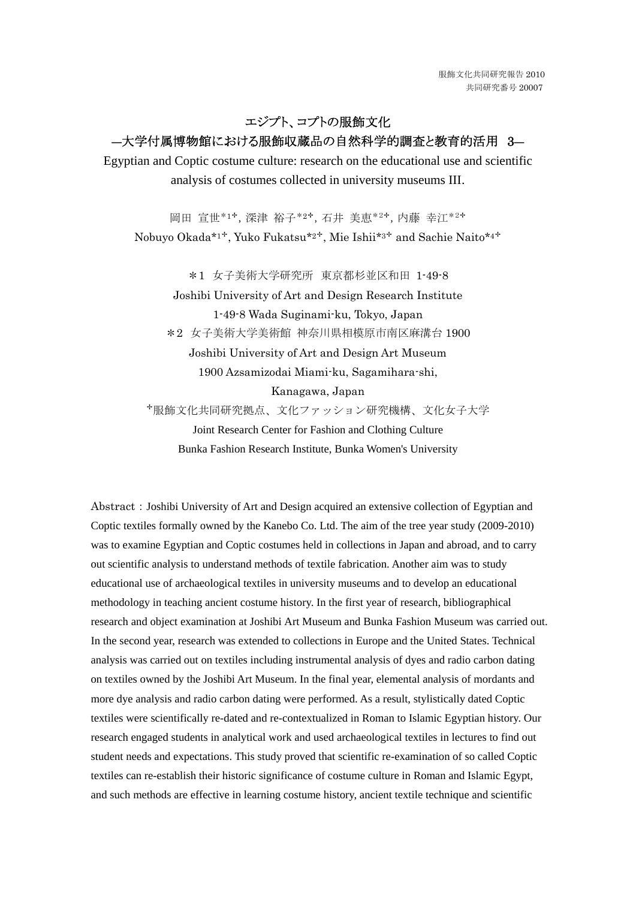エジプト、コプトの服飾文化

# ―大学付属博物館における服飾収蔵品の自然科学的調査と教育的活用 3―

Egyptian and Coptic costume culture: research on the educational use and scientific analysis of costumes collected in university museums III.

岡田 宣世\*1✢,深津 裕子\*2✢,石井 美恵\*2✢,内藤 幸江\*2✢

Nobuyo Okada\*1✢, Yuko Fukatsu\*2✢, Mie Ishii\*3✢ and Sachie Naito\*4✢

\*1 女子美術大学研究所 東京都杉並区和田 1-49-8

Joshibi University of Art and Design Research Institute 1-49-8 Wada Suginami-ku, Tokyo, Japan \*2 女子美術大学美術館 神奈川県相模原市南区麻溝台 1900 Joshibi University of Art and Design Art Museum 1900 Azsamizodai Miami-ku, Sagamihara-shi, Kanagawa, Japan

✢服飾文化共同研究拠点、文化ファッション研究機構、文化女子大学

Joint Research Center for Fashion and Clothing Culture Bunka Fashion Research Institute, Bunka Women's University

Abstract: Joshibi University of Art and Design acquired an extensive collection of Egyptian and Coptic textiles formally owned by the Kanebo Co. Ltd. The aim of the tree year study (2009-2010) was to examine Egyptian and Coptic costumes held in collections in Japan and abroad, and to carry out scientific analysis to understand methods of textile fabrication. Another aim was to study educational use of archaeological textiles in university museums and to develop an educational methodology in teaching ancient costume history. In the first year of research, bibliographical research and object examination at Joshibi Art Museum and Bunka Fashion Museum was carried out. In the second year, research was extended to collections in Europe and the United States. Technical analysis was carried out on textiles including instrumental analysis of dyes and radio carbon dating on textiles owned by the Joshibi Art Museum. In the final year, elemental analysis of mordants and more dye analysis and radio carbon dating were performed. As a result, stylistically dated Coptic textiles were scientifically re-dated and re-contextualized in Roman to Islamic Egyptian history. Our research engaged students in analytical work and used archaeological textiles in lectures to find out student needs and expectations. This study proved that scientific re-examination of so called Coptic textiles can re-establish their historic significance of costume culture in Roman and Islamic Egypt, and such methods are effective in learning costume history, ancient textile technique and scientific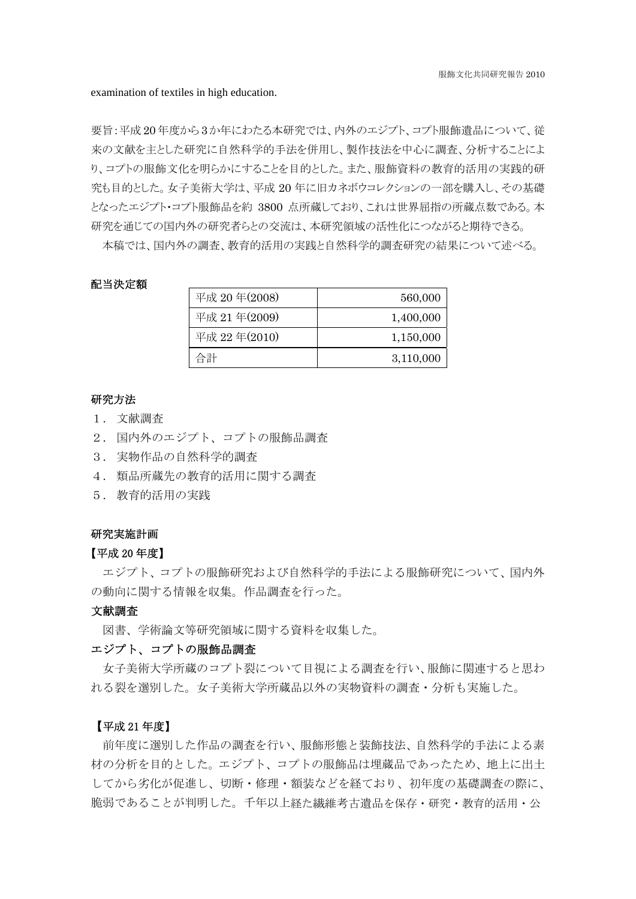examination of textiles in high education.

要旨:平成 20 年度から 3 か年にわたる本研究では、内外のエジプト、コプト服飾遺品について、従 来の文献を主とした研究に自然科学的手法を併用し、製作技法を中心に調査、分析することによ り、コプトの服飾文化を明らかにすることを目的とした。また、服飾資料の教育的活用の実践的研 究も目的とした。女子美術大学は、平成 20 年に旧カネボウコレクションの一部を購入し、その基礎 となったエジプト・コプト服飾品を約 3800 点所蔵しており、これは世界屈指の所蔵点数である。本 研究を通じての国内外の研究者らとの交流は、本研究領域の活性化につながると期待できる。

本稿では、国内外の調査、教育的活用の実践と自然科学的調査研究の結果について述べる。

## 配当決定額

| 平成 20年(2008)    | 560,000   |
|-----------------|-----------|
| 平成 21年 $(2009)$ | 1,400,000 |
| 平成 22年(2010)    | 1,150,000 |
| 合計              | 3,110,000 |

# 研究方法

- 1. 文献調査
- 2. 国内外のエジプト、コプトの服飾品調査
- 3. 実物作品の自然科学的調査
- 4. 類品所蔵先の教育的活用に関する調査
- 5. 教育的活用の実践

## 研究実施計画

### 【平成 20 年度】

エジプト、コプトの服飾研究および自然科学的手法による服飾研究について、国内外 の動向に関する情報を収集。作品調査を行った。

# 文献調査

図書、学術論文等研究領域に関する資料を収集した。

# エジプト、コプトの服飾品調査

女子美術大学所蔵のコプト裂について目視による調査を行い、服飾に関連すると思わ れる裂を選別した。女子美術大学所蔵品以外の実物資料の調査・分析も実施した。

## 【平成 21 年度】

前年度に選別した作品の調査を行い、服飾形態と装飾技法、自然科学的手法による素 材の分析を目的とした。エジプト、コプトの服飾品は埋蔵品であったため、地上に出土 してから劣化が促進し、切断・修理・額装などを経ており、初年度の基礎調査の際に、 脆弱であることが判明した。千年以上経た繊維考古遺品を保存・研究・教育的活用・公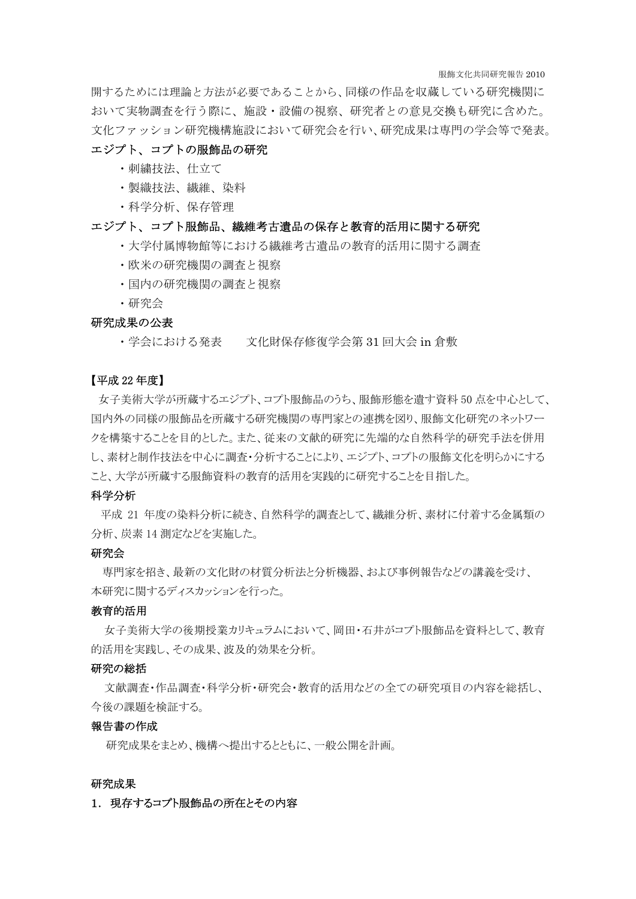開するためには理論と方法が必要であることから、同様の作品を収蔵している研究機関に おいて実物調査を行う際に、施設・設備の視察、研究者との意見交換も研究に含めた。 文化ファッション研究機構施設において研究会を行い、研究成果は専門の学会等で発表。

# エジプト、コプトの服飾品の研究

- ・刺繍技法、仕立て
- ・製織技法、繊維、染料
- ・科学分析、保存管理

# エジプト、コプト服飾品、繊維考古遺品の保存と教育的活用に関する研究

- ・大学付属博物館等における繊維考古遺品の教育的活用に関する調査
- ・欧米の研究機関の調査と視察
- ・国内の研究機関の調査と視察
- ・研究会

# 研究成果の公表

・学会における発表 文化財保存修復学会第 31 回大会 in 倉敷

# 【平成 22 年度】

 女子美術大学が所蔵するエジプト、コプト服飾品のうち、服飾形態を遺す資料 50 点を中心として、 国内外の同様の服飾品を所蔵する研究機関の専門家との連携を図り、服飾文化研究のネットワー クを構築することを目的とした。また、従来の文献的研究に先端的な自然科学的研究手法を併用 し、素材と制作技法を中心に調査・分析することにより、エジプト、コプトの服飾文化を明らかにする こと、大学が所蔵する服飾資料の教育的活用を実践的に研究することを目指した。

#### 科学分析

 平成 21 年度の染料分析に続き、自然科学的調査として、繊維分析、素材に付着する金属類の 分析、炭素 14 測定などを実施した。

#### 研究会

 専門家を招き、最新の文化財の材質分析法と分析機器、および事例報告などの講義を受け、 本研究に関するディスカッションを行った。

#### 教育的活用

 女子美術大学の後期授業カリキュラムにおいて、岡田・石井がコプト服飾品を資料として、教育 的活用を実践し、その成果、波及的効果を分析。

## 研究の総括

 文献調査・作品調査・科学分析・研究会・教育的活用などの全ての研究項目の内容を総括し、 今後の課題を検証する。

#### 報告書の作成

研究成果をまとめ、機構へ提出するとともに、一般公開を計画。

#### 研究成果

## 1. 現存するコプト服飾品の所在とその内容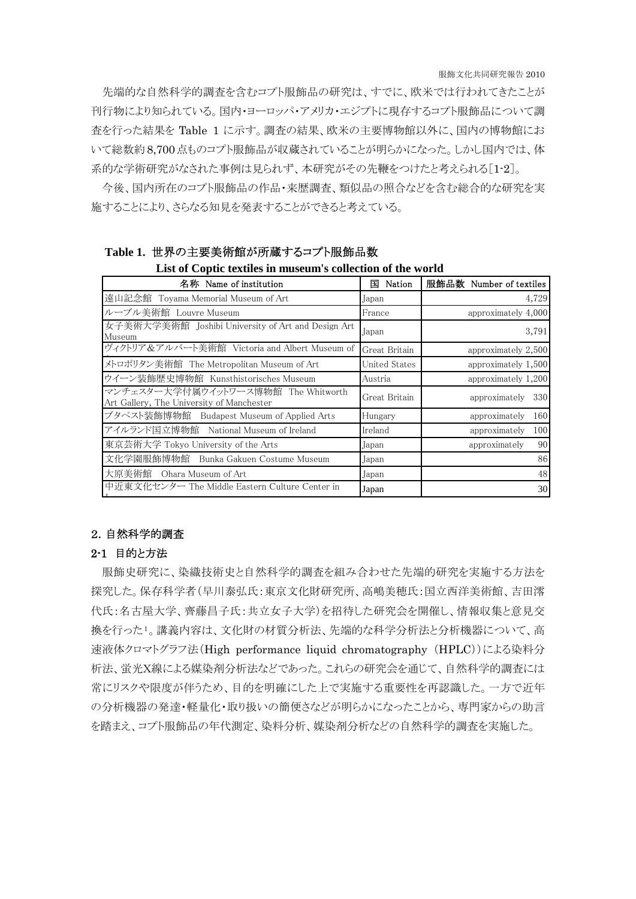先端的な自然科学的調査を含むコプト服飾品の研究は、すでに、欧米では行われてきたことが 刊行物により知られている。国内・ヨーロッパ・アメリカ・エジプトに現存するコプト服飾品について調 査を行った結果を Table 1 に示す。調査の結果、欧米の主要博物館以外に、国内の博物館にお いて総数約8,700点ものコプト服飾品が収蔵されていることが明らかになった。しかし国内では、体 系的な学術研究がなされた事例は見られず、本研究がその先鞭をつけたと考えられる[1-2]。

今後、国内所在のコプト服飾品の作品・来歴調査、類似品の照合などを含む総合的な研究を実 施することにより、さらなる知見を発表することができると考えている。

# **Table 1.** 世界の主要美術館が所蔵するコプト服飾品数

# **List of Coptic textiles in museum's collection of the world**

| 名称 Name of institution                                                           | Nation<br>国   | 服飾品数 Number of textiles |
|----------------------------------------------------------------------------------|---------------|-------------------------|
| 遠山記念館 Toyama Memorial Museum of Art                                              | Japan         | 4,729                   |
| ルーブル美術館 Louvre Museum                                                            | France        | approximately 4,000     |
| 女子美術大学美術館 [Joshibi University of Art and Design Art<br>Museum                    | Japan         | 3,791                   |
| ヴィクトリア&アルバート美術館 Victoria and Albert Museum of                                    | Great Britain | approximately 2,500     |
| メトロポリタン美術館 The Metropolitan Museum of Art                                        | United States | approximately 1,500     |
| ウイーン装飾歴史博物館 Kunsthistorisches Museum                                             | Austria       | approximately 1,200     |
| マンチェスター大学付属ウイットワース博物館 The Whitworth<br>Art Gallery, The University of Manchester | Great Britain | 330<br>approximately    |
| ブタペスト装飾博物館 Budapest Museum of Applied Arts                                       | Hungary       | 160<br>approximately    |
| アイルランド国立博物館 National Museum of Ireland                                           | Ireland       | 100<br>approximately    |
| 東京芸術大学 Tokyo University of the Arts                                              | Japan         | 90<br>approximately     |
| 文化学園服飾博物館 Bunka Gakuen Costume Museum                                            | Japan         | 86                      |
| 大原美術館<br>Ohara Museum of Art                                                     | Japan         | 48                      |
| 中近東文化センター The Middle Eastern Culture Center in                                   | Japan         | 30                      |

## 2.自然科学的調査

## 2-1 目的と方法

服飾史研究に、染織技術史と自然科学的調査を組み合わせた先端的研究を実施する方法を 探究した。保存科学者(早川泰弘氏:東京文化財研究所、高嶋美穂氏:国立西洋美術館、吉田澪 代氏:名古屋大学、齊藤昌子氏:共立女子大学)を招待した研究会を開催し、情報収集と意見交 換を行った[1](#page-7-0)。講義内容は、文化財の材質分析法、先端的な科学分析法と分析機器について、高 速液体クロマトグラフ法(High performance liquid chromatography (HPLC))による染料分 析法、蛍光X線による媒染剤分析法などであった。これらの研究会を通じて、自然科学的調査には 常にリスクや限度が伴うため、目的を明確にした上で実施する重要性を再認識した。一方で近年 の分析機器の発達・軽量化・取り扱いの簡便さなどが明らかになったことから、専門家からの助言 を踏まえ、コプト服飾品の年代測定、染料分析、媒染剤分析などの自然科学的調査を実施した。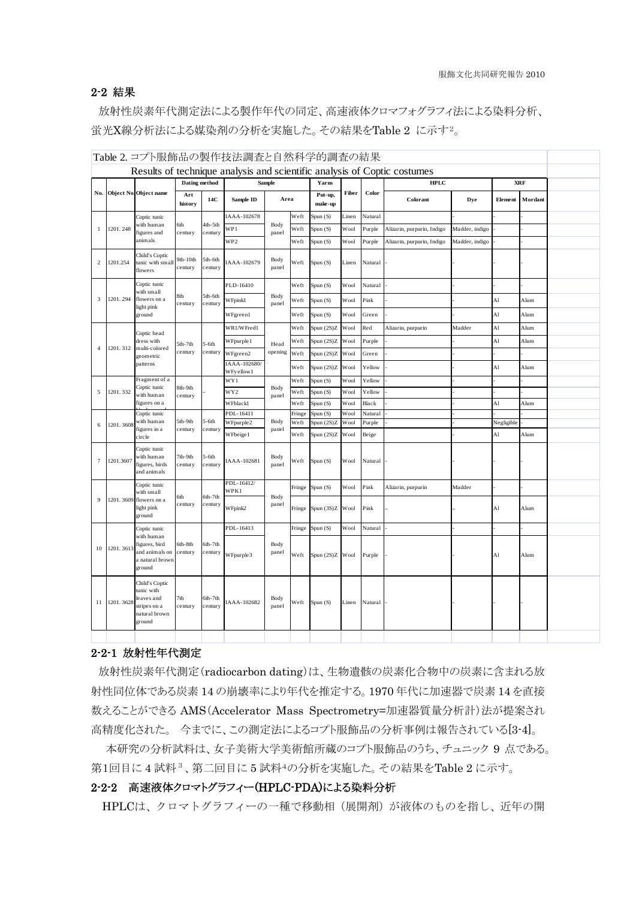# 2-2 結果

 放射性炭素年代測定法による製作年代の同定、高速液体クロマフォグラフィ法による染料分析、 蛍光X線分析法による媒染剤の分析を実施した。その結果をTable 2 に示す[2](#page-7-1)。

|                         | Table 2. コプト服飾品の製作技法調査と自然科学的調査の結果                                        |                                                                                            |                     |                    |                                    |               |                |                         |              |                   |                            |                |            |         |  |
|-------------------------|--------------------------------------------------------------------------|--------------------------------------------------------------------------------------------|---------------------|--------------------|------------------------------------|---------------|----------------|-------------------------|--------------|-------------------|----------------------------|----------------|------------|---------|--|
|                         | Results of technique analysis and scientific analysis of Coptic costumes |                                                                                            |                     |                    |                                    |               |                |                         |              |                   |                            |                |            |         |  |
| No.                     |                                                                          | Object No. Object name                                                                     | Dating method       |                    | Sample                             |               | Yarns          |                         |              | <b>HPLC</b>       |                            | <b>XRF</b>     |            |         |  |
|                         |                                                                          |                                                                                            | Art<br>history      | 14C                | Sample ID                          | Area          |                | Put-up,<br>make-up      | Fiber        | Color             | Colorant                   | Dye            | Element    | Mordant |  |
| 1                       | 1201.248                                                                 | Coptic tunic<br>with human<br>figures and<br>animals                                       |                     | 4th-5th<br>century | [AAA-102678                        | Body<br>panel | Weft           | Spun (S)                | Linen        | Natural           |                            |                |            |         |  |
|                         |                                                                          |                                                                                            | 6th<br>century      |                    | WP1                                |               | Weft           | Spun(S)                 | Wool         | Purple            | Alizarin, purpurin, Indigo | Madder, indigo |            |         |  |
|                         |                                                                          |                                                                                            |                     |                    | WP <sub>2</sub>                    |               | Weft           | Spun (S)                | Wool         | Purple            | Alizarin, purpurin, Indigo | Madder, indigo |            |         |  |
| 2                       | 1201.254                                                                 | Child's Coptic<br>tunic with small<br>flowers                                              | 9th-10th<br>century | 5th-6th<br>century | [AAA-102679                        | Body<br>panel | Weft           | Spun (S)                | Linen        | Natural           |                            |                |            |         |  |
| $\overline{\mathbf{3}}$ |                                                                          | Coptic tunic<br>with small<br>flowers on a                                                 | 8th<br>century      | 5th-6th<br>century | PLD-16410                          | Body<br>panel | Weft           | Spun (S)                | Wool         | Natural           |                            |                |            |         |  |
|                         | 1201.294                                                                 |                                                                                            |                     |                    | WFpinkl                            |               | Weft           | Spun(S)                 | Wool         | Pink              |                            |                | Al         | Alum    |  |
|                         |                                                                          | light pink<br>ground                                                                       |                     |                    | WFgreen1                           |               | Weft           |                         | Wool         | Green             |                            |                | Al         | Alum    |  |
|                         |                                                                          |                                                                                            |                     |                    |                                    |               |                | Spun (S)                |              |                   |                            |                |            |         |  |
| $\overline{4}$          |                                                                          | Coptic head<br>dress with<br>multi-colored<br>geometric<br>patterns                        | 5th-7th<br>century  | $5-6th$<br>century | WR1/WFred1                         | Head          | Weft           | Spun (2S)Z              | Wool         | Red               | Alizarin, purpurin         | Madder         | Al         | Alum    |  |
|                         | 1201.312                                                                 |                                                                                            |                     |                    | WFpurple 1                         |               | Weft           | Spun (2S)Z              | Wool         | Purple            |                            |                | Al         | Alum    |  |
|                         |                                                                          |                                                                                            |                     |                    | WFgreen2<br>IAAA-102680/           | opening       | Weft           | Spun (2S)Z              | Wool         | Green             |                            |                |            |         |  |
|                         |                                                                          |                                                                                            |                     |                    | WFy ellow 1                        |               | Weft           | Spun (2S)Z              | Wool         | Yellow            |                            |                | Al         | Alum    |  |
| 5                       | 1201.332                                                                 | Fragment of a<br>Coptic tunic                                                              | 8th-9th             |                    | WY1                                | Body<br>panel | Weft           | Spun (S)                | Wool         | Yellow            |                            |                |            |         |  |
|                         |                                                                          | with human<br>figures on a                                                                 | century             |                    | WY <sub>2</sub>                    |               | Weft           | Spun(S)                 | Wool         | Yellow            |                            |                |            |         |  |
|                         |                                                                          |                                                                                            |                     |                    | WFblackl                           |               | Weft           | Spun (S)                | Wool         | Black             |                            |                | Al         | Alum    |  |
| 6                       | 1201.3608                                                                | Coptic tunic<br>with human<br>figures in a<br>circle                                       | 5th-9th             | $5-6th$<br>century | PDL-16411<br>WFpurple <sub>2</sub> | Body<br>panel | Fringe<br>Weft | Spun(S)<br>Spun $(2S)Z$ | Wool<br>Wool | Natural<br>Purple |                            |                | Negligible |         |  |
|                         |                                                                          |                                                                                            | century             |                    | WFbeige1                           |               | Weft           | Spun(2S)Z               | Wool         | Beige             |                            |                | Al         | Alum    |  |
| $\tau$                  | 1201.3607                                                                | Coptic tunic<br>with human<br>figures, birds<br>and animals                                | 7th-9th<br>century  | $5-6th$<br>century | IAAA-102681                        | Body<br>panel | Weft           | Spun(S)                 | Wool         | Natural           |                            |                |            |         |  |
|                         |                                                                          | Coptic tunic<br>with small<br>flowers on a<br>light pink<br>ground                         | 6th<br>century      | 6th-7th<br>century | PDL-16412/<br>WPK1                 | Body<br>panel | Fringe         | Spun (S)                | Wool         | Pink              | Alizarin, purpurin         | Madder         |            |         |  |
| 9                       | 1201.3609                                                                |                                                                                            |                     |                    | WFpink2                            |               | Fringe         | Spun (3S)Z              | Wool         | Pink              |                            |                | Al         | Alum    |  |
| 10                      | 1201.3613                                                                | Coptic tunic<br>with human<br>figures, bird<br>and animals on<br>a natural brown<br>ground | 6th-8th<br>century  |                    | PDL-16413                          | Body<br>panel | Fringe         | Spun(S)                 | Wool         | Natural           |                            |                |            |         |  |
|                         |                                                                          |                                                                                            |                     | 6th-7th<br>century | WFpurple3                          |               | Weft           | Spun (2S)Z Wool         |              | Purple            |                            |                | A1         | Alum    |  |
| 11                      | 1201.3628                                                                | Child's Coptic<br>tunic with<br>leaves and<br>stripes on a<br>natural brown<br>ground      | 7th<br>century      | 6th-7th<br>century | [AAA-102682                        | Body<br>panel | Weft           | Spun (S)                | Linen        | Natural           |                            |                |            |         |  |
|                         |                                                                          |                                                                                            |                     |                    |                                    |               |                |                         |              |                   |                            |                |            |         |  |

# 2-2-1 放射性年代測定

 放射性炭素年代測定(radiocarbon dating)は、生物遺骸の炭素化合物中の炭素に含まれる放 射性同位体である炭素 14 の崩壊率により年代を推定する。1970 年代に加速器で炭素 14 を直接 数えることができる AMS(Accelerator Mass Spectrometry=加速器質量分析計)法が提案され 高精度化された。 今までに、この測定法によるコプト服飾品の分析事例は報告されている[3-4]。

 本研究の分析試料は、女子美術大学美術館所蔵のコプト服飾品のうち、チュニック 9 点である。 第1回目に4試料<sup>[3](#page-7-2)</sup>、第二回目に5試料[4](#page-7-3)の分析を実施した。その結果をTable 2 に示す。

# 2-2-2 高速液体クロマトグラフィー(HPLC-PDA)による染料分析

HPLCは、クロマトグラフィーの一種で移動相(展開剤)が液体のものを指し、近年の開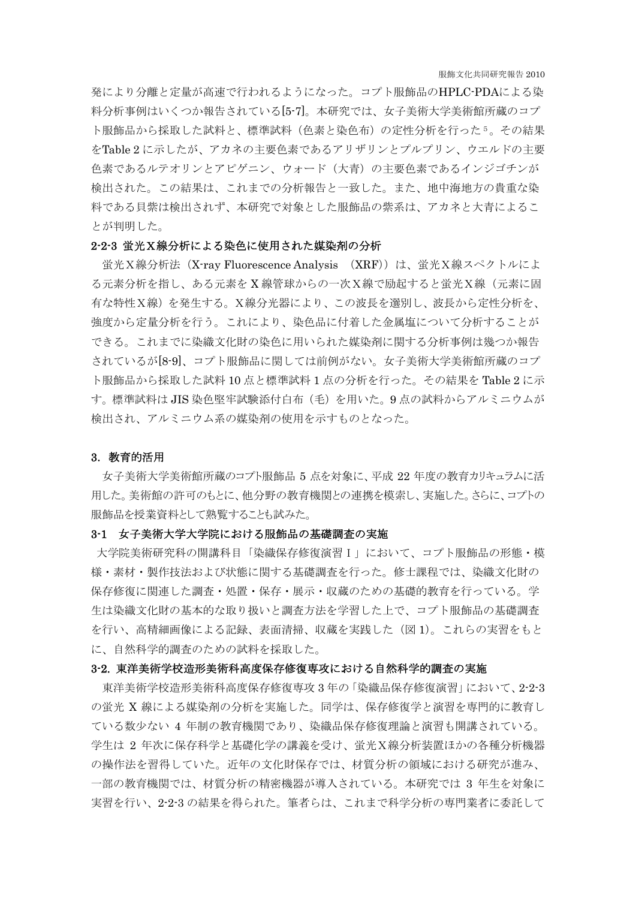発により分離と定量が高速で行われるようになった。コプト服飾品のHPLC-PDAによる染 料分析事例はいくつか報告されている[5-7]。本研究では、女子美術大学美術館所蔵のコプ ト服飾品から採取した試料と、標準試料(色素と染色布)の定性分析を行った[5](#page-7-4)。その結果 をTable 2 に示したが、アカネの主要色素であるアリザリンとプルプリン、ウエルドの主要 色素であるルテオリンとアピゲニン、ウォード(大青)の主要色素であるインジゴチンが 検出された。この結果は、これまでの分析報告と一致した。また、地中海地方の貴重な染 料である貝紫は検出されず、本研究で対象とした服飾品の紫系は、アカネと大青によるこ とが判明した。

## 2-2-3 蛍光X線分析による染色に使用された媒染剤の分析

蛍光X線分析法 (X-ray Fluorescence Analysis (XRF))は、蛍光X線スペクトルによ る元素分析を指し、ある元素を X 線管球からの一次X線で励起すると蛍光X線(元素に固 有な特性X線)を発生する。X線分光器により、この波長を選別し、波長から定性分析を、 強度から定量分析を行う。これにより、染色品に付着した金属塩について分析することが できる。これまでに染織文化財の染色に用いられた媒染剤に関する分析事例は幾つか報告 されているが[8-9]、コプト服飾品に関しては前例がない。女子美術大学美術館所蔵のコプ ト服飾品から採取した試料 10 点と標準試料 1 点の分析を行った。その結果を Table 2 に示 す。標準試料は JIS 染色堅牢試験添付白布(毛)を用いた。9 点の試料からアルミニウムが 検出され、アルミニウム系の媒染剤の使用を示すものとなった。

#### 3.教育的活用

女子美術大学美術館所蔵のコプト服飾品 5 点を対象に、平成 22 年度の教育カリキュラムに活 用した。美術館の許可のもとに、他分野の教育機関との連携を模索し、実施した。さらに、コプトの 服飾品を授業資料として熟覧することも試みた。

### 3-1 女子美術大学大学院における服飾品の基礎調査の実施

大学院美術研究科の開講科目「染織保存修復演習I」において、コプト服飾品の形態・模 様・素材・製作技法および状態に関する基礎調査を行った。修士課程では、染織文化財の 保存修復に関連した調査・処置・保存・展示・収蔵のための基礎的教育を行っている。学 生は染織文化財の基本的な取り扱いと調査方法を学習した上で、コプト服飾品の基礎調査 を行い、高精細画像による記録、表面清掃、収蔵を実践した(図 1)。これらの実習をもと に、自然科学的調査のための試料を採取した。

### 3-2. 東洋美術学校造形美術科高度保存修復専攻における自然科学的調査の実施

東洋美術学校造形美術科高度保存修復専攻 3 年の「染織品保存修復演習」において、2-2-3 の蛍光 X 線による媒染剤の分析を実施した。同学は、保存修復学と演習を専門的に教育し ている数少ない 4 年制の教育機関であり、染織品保存修復理論と演習も開講されている。 学生は 2 年次に保存科学と基礎化学の講義を受け、蛍光X線分析装置ほかの各種分析機器 の操作法を習得していた。近年の文化財保存では、材質分析の領域における研究が進み、 一部の教育機関では、材質分析の精密機器が導入されている。本研究では 3 年生を対象に 実習を行い、2-2-3 の結果を得られた。筆者らは、これまで科学分析の専門業者に委託して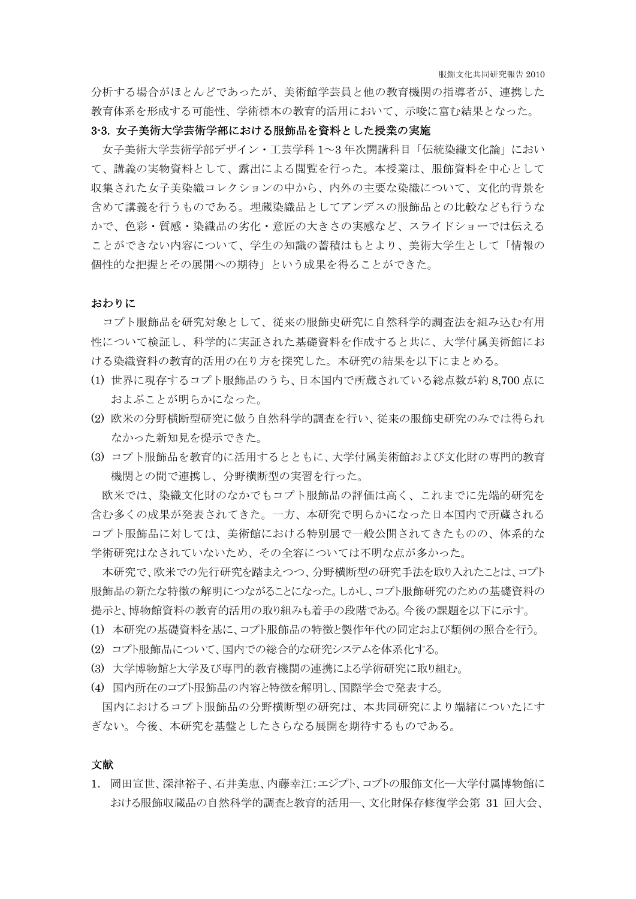分析する場合がほとんどであったが、美術館学芸員と他の教育機関の指導者が、連携した 教育体系を形成する可能性、学術標本の教育的活用において、示唆に富む結果となった。

## 3-3. 女子美術大学芸術学部における服飾品を資料とした授業の実施

 女子美術大学芸術学部デザイン・工芸学科 1~3 年次開講科目「伝統染織文化論」におい て、講義の実物資料として、露出による閲覧を行った。本授業は、服飾資料を中心として 収集された女子美染織コレクションの中から、内外の主要な染織について、文化的背景を 含めて講義を行うものである。埋蔵染織品としてアンデスの服飾品との比較なども行うな かで、色彩・質感・染織品の劣化・意匠の大きさの実感など、スライドショーでは伝える ことができない内容について、学生の知識の蓄積はもとより、美術大学生として「情報の 個性的な把握とその展開への期待」という成果を得ることができた。

#### おわりに

 コプト服飾品を研究対象として、従来の服飾史研究に自然科学的調査法を組み込む有用 性について検証し、科学的に実証された基礎資料を作成すると共に、大学付属美術館にお ける染織資料の教育的活用の在り方を探究した。本研究の結果を以下にまとめる。

- (1) 世界に現存するコプト服飾品のうち、日本国内で所蔵されている総点数が約 8,700 点に およぶことが明らかになった。
- (2) 欧米の分野横断型研究に倣う自然科学的調査を行い、従来の服飾史研究のみでは得られ なかった新知見を提示できた。
- (3) コプト服飾品を教育的に活用するとともに、大学付属美術館および文化財の専門的教育 機関との間で連携し、分野横断型の実習を行った。

欧米では、染織文化財のなかでもコプト服飾品の評価は高く、これまでに先端的研究を 含む多くの成果が発表されてきた。一方、本研究で明らかになった日本国内で所蔵される コプト服飾品に対しては、美術館における特別展で一般公開されてきたものの、体系的な 学術研究はなされていないため、その全容については不明な点が多かった。

本研究で、欧米での先行研究を踏まえつつ、分野横断型の研究手法を取り入れたことは、コプト 服飾品の新たな特徴の解明につながることになった。しかし、コプト服飾研究のための基礎資料の 提示と、博物館資料の教育的活用の取り組みも着手の段階である。今後の課題を以下に示す。

- (1) 本研究の基礎資料を基に、コプト服飾品の特徴と製作年代の同定および類例の照合を行う。
- (2) コプト服飾品について、国内での総合的な研究システムを体系化する。
- (3) 大学博物館と大学及び専門的教育機関の連携による学術研究に取り組む。
- (4) 国内所在のコプト服飾品の内容と特徴を解明し、国際学会で発表する。

国内におけるコプト服飾品の分野横断型の研究は、本共同研究により端緒についたにす ぎない。今後、本研究を基盤としたさらなる展開を期待するものである。

## 文献

1. 岡田宣世、深津裕子、石井美恵、内藤幸江:エジプト、コプトの服飾文化―大学付属博物館に おける服飾収蔵品の自然科学的調査と教育的活用―、文化財保存修復学会第 31 回大会、